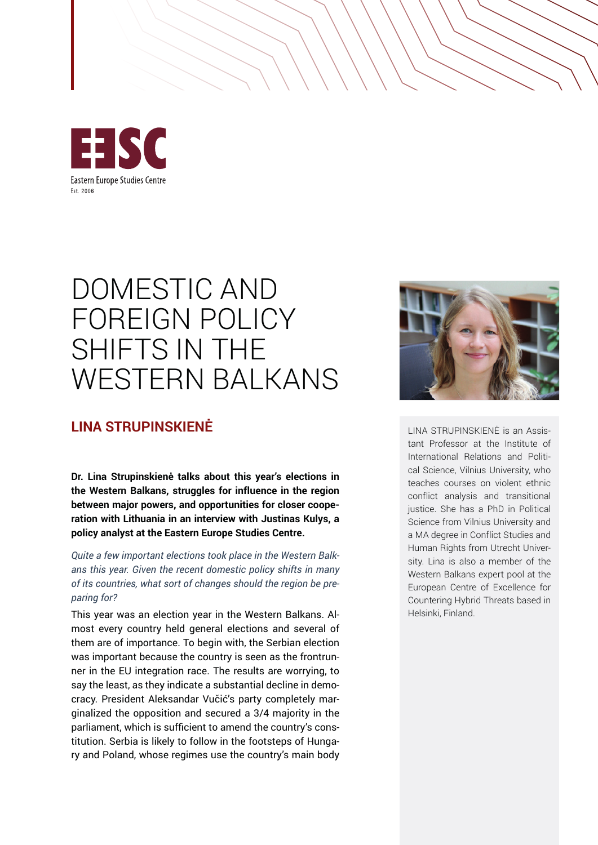

## DOMESTIC AND FOREIGN POLICY SHIFTS IN THE WESTERN BALKANS

## **LINA STRUPINSKIENĖ** LINA STRUPINSKIENĖ is an Assis-

**Dr. Lina Strupinskienė talks about this year's elections in the Western Balkans, struggles for influence in the region between major powers, and opportunities for closer cooperation with Lithuania in an interview with Justinas Kulys, a policy analyst at the Eastern Europe Studies Centre.**

*Quite a few important elections took place in the Western Balkans this year. Given the recent domestic policy shifts in many of its countries, what sort of changes should the region be preparing for?*

This year was an election year in the Western Balkans. Almost every country held general elections and several of them are of importance. To begin with, the Serbian election was important because the country is seen as the frontrunner in the EU integration race. The results are worrying, to say the least, as they indicate a substantial decline in democracy. President Aleksandar Vučić's party completely marginalized the opposition and secured a 3/4 majority in the parliament, which is sufficient to amend the country's constitution. Serbia is likely to follow in the footsteps of Hungary and Poland, whose regimes use the country's main body



tant Professor at the Institute of International Relations and Political Science, Vilnius University, who teaches courses on violent ethnic conflict analysis and transitional justice. She has a PhD in Political Science from Vilnius University and a MA degree in Conflict Studies and Human Rights from Utrecht University. Lina is also a member of the Western Balkans expert pool at the European Centre of Excellence for Countering Hybrid Threats based in Helsinki, Finland.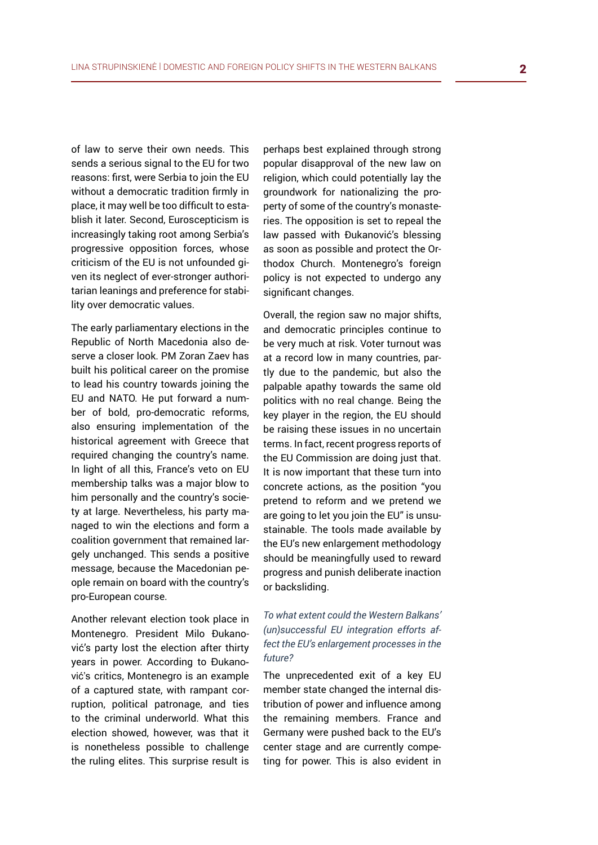of law to serve their own needs. This sends a serious signal to the EU for two reasons: first, were Serbia to join the EU without a democratic tradition firmly in place, it may well be too difficult to establish it later. Second, Euroscepticism is increasingly taking root among Serbia's progressive opposition forces, whose criticism of the EU is not unfounded given its neglect of ever-stronger authoritarian leanings and preference for stability over democratic values.

The early parliamentary elections in the Republic of North Macedonia also deserve a closer look. PM Zoran Zaev has built his political career on the promise to lead his country towards joining the EU and NATO. He put forward a number of bold, pro-democratic reforms, also ensuring implementation of the historical agreement with Greece that required changing the country's name. In light of all this, France's veto on EU membership talks was a major blow to him personally and the country's society at large. Nevertheless, his party managed to win the elections and form a coalition government that remained largely unchanged. This sends a positive message, because the Macedonian people remain on board with the country's pro-European course.

Another relevant election took place in Montenegro. President Milo Đukanović's party lost the election after thirty years in power. According to Đukanović's critics, Montenegro is an example of a captured state, with rampant corruption, political patronage, and ties to the criminal underworld. What this election showed, however, was that it is nonetheless possible to challenge the ruling elites. This surprise result is perhaps best explained through strong popular disapproval of the new law on religion, which could potentially lay the groundwork for nationalizing the property of some of the country's monasteries. The opposition is set to repeal the law passed with Đukanović's blessing as soon as possible and protect the Orthodox Church. Montenegro's foreign policy is not expected to undergo any significant changes.

Overall, the region saw no major shifts, and democratic principles continue to be very much at risk. Voter turnout was at a record low in many countries, partly due to the pandemic, but also the palpable apathy towards the same old politics with no real change. Being the key player in the region, the EU should be raising these issues in no uncertain terms. In fact, recent progress reports of the EU Commission are doing just that. It is now important that these turn into concrete actions, as the position "you pretend to reform and we pretend we are going to let you join the EU" is unsustainable. The tools made available by the EU's new enlargement methodology should be meaningfully used to reward progress and punish deliberate inaction or backsliding.

## *To what extent could the Western Balkans' (un)successful EU integration efforts affect the EU's enlargement processes in the future?*

The unprecedented exit of a key EU member state changed the internal distribution of power and influence among the remaining members. France and Germany were pushed back to the EU's center stage and are currently competing for power. This is also evident in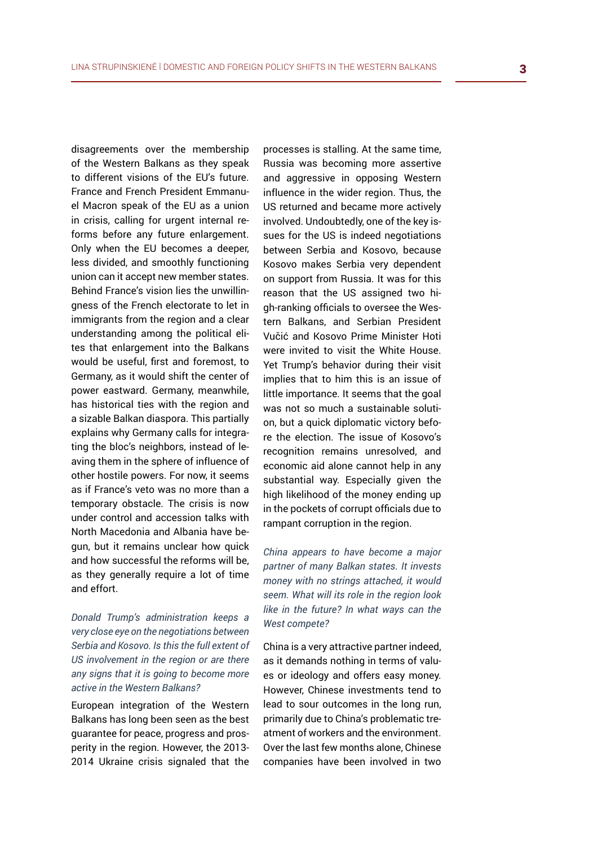disagreements over the membership of the Western Balkans as they speak to different visions of the EU's future. France and French President Emmanuel Macron speak of the EU as a union in crisis, calling for urgent internal reforms before any future enlargement. Only when the EU becomes a deeper, less divided, and smoothly functioning union can it accept new member states. Behind France's vision lies the unwillingness of the French electorate to let in immigrants from the region and a clear understanding among the political elites that enlargement into the Balkans would be useful, first and foremost, to Germany, as it would shift the center of power eastward. Germany, meanwhile, has historical ties with the region and a sizable Balkan diaspora. This partially explains why Germany calls for integrating the bloc's neighbors, instead of leaving them in the sphere of influence of other hostile powers. For now, it seems as if France's veto was no more than a temporary obstacle. The crisis is now under control and accession talks with North Macedonia and Albania have begun, but it remains unclear how quick and how successful the reforms will be, as they generally require a lot of time and effort.

*Donald Trump's administration keeps a very close eye on the negotiations between Serbia and Kosovo. Is this the full extent of US involvement in the region or are there any signs that it is going to become more active in the Western Balkans?*

European integration of the Western Balkans has long been seen as the best guarantee for peace, progress and prosperity in the region. However, the 2013- 2014 Ukraine crisis signaled that the processes is stalling. At the same time, Russia was becoming more assertive and aggressive in opposing Western influence in the wider region. Thus, the US returned and became more actively involved. Undoubtedly, one of the key issues for the US is indeed negotiations between Serbia and Kosovo, because Kosovo makes Serbia very dependent on support from Russia. It was for this reason that the US assigned two high-ranking officials to oversee the Western Balkans, and Serbian President Vučić and Kosovo Prime Minister Hoti were invited to visit the White House. Yet Trump's behavior during their visit implies that to him this is an issue of little importance. It seems that the goal was not so much a sustainable solution, but a quick diplomatic victory before the election. The issue of Kosovo's recognition remains unresolved, and economic aid alone cannot help in any substantial way. Especially given the high likelihood of the money ending up in the pockets of corrupt officials due to rampant corruption in the region.

*China appears to have become a major partner of many Balkan states. It invests money with no strings attached, it would seem. What will its role in the region look like in the future? In what ways can the West compete?*

China is a very attractive partner indeed, as it demands nothing in terms of values or ideology and offers easy money. However, Chinese investments tend to lead to sour outcomes in the long run, primarily due to China's problematic treatment of workers and the environment. Over the last few months alone, Chinese companies have been involved in two